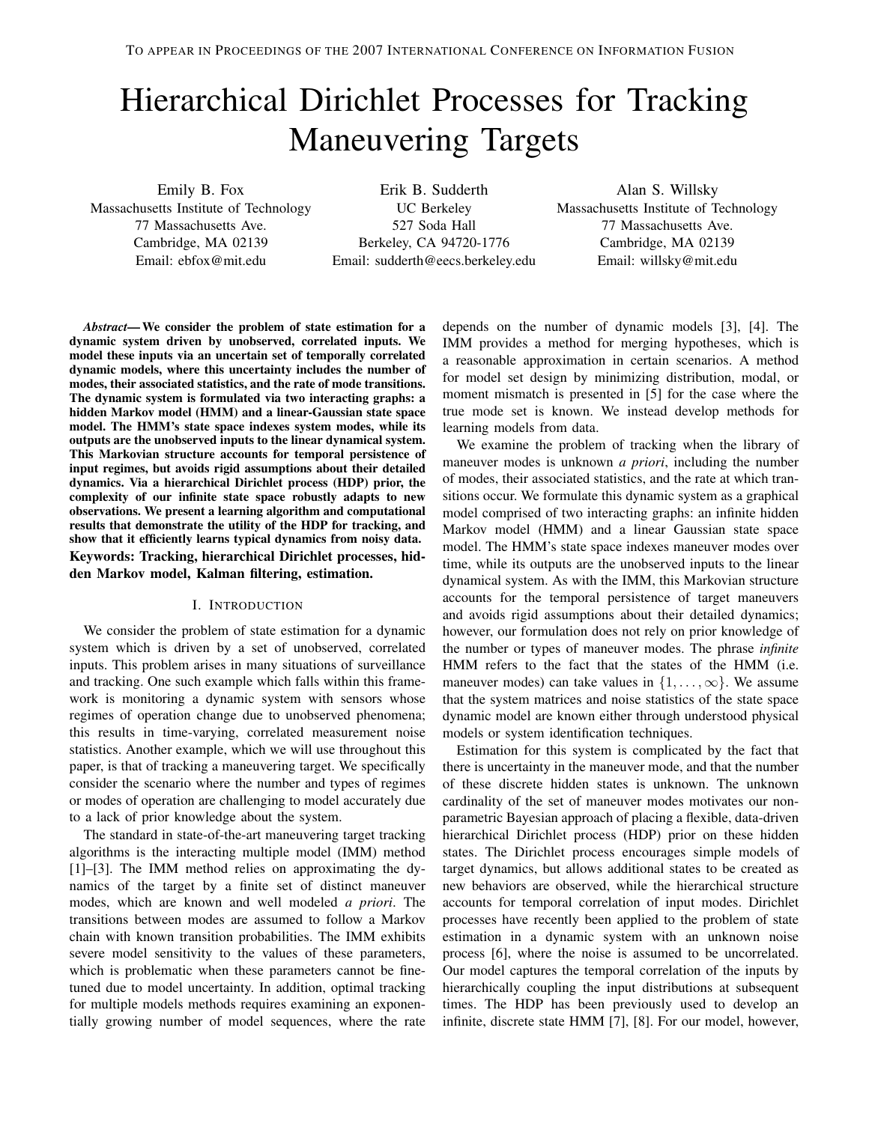# Hierarchical Dirichlet Processes for Tracking Maneuvering Targets

Emily B. Fox

Massachusetts Institute of Technology 77 Massachusetts Ave. Cambridge, MA 02139 Email: ebfox@mit.edu

Erik B. Sudderth UC Berkeley 527 Soda Hall Berkeley, CA 94720-1776 Email: sudderth@eecs.berkeley.edu

Alan S. Willsky Massachusetts Institute of Technology 77 Massachusetts Ave. Cambridge, MA 02139 Email: willsky@mit.edu

*Abstract***—We consider the problem of state estimation for a dynamic system driven by unobserved, correlated inputs. We model these inputs via an uncertain set of temporally correlated dynamic models, where this uncertainty includes the number of modes, their associated statistics, and the rate of mode transitions. The dynamic system is formulated via two interacting graphs: a hidden Markov model (HMM) and a linear-Gaussian state space model. The HMM's state space indexes system modes, while its outputs are the unobserved inputs to the linear dynamical system. This Markovian structure accounts for temporal persistence of input regimes, but avoids rigid assumptions about their detailed dynamics. Via a hierarchical Dirichlet process (HDP) prior, the complexity of our infinite state space robustly adapts to new observations. We present a learning algorithm and computational results that demonstrate the utility of the HDP for tracking, and show that it efficiently learns typical dynamics from noisy data. Keywords: Tracking, hierarchical Dirichlet processes, hidden Markov model, Kalman filtering, estimation.**

# I. INTRODUCTION

We consider the problem of state estimation for a dynamic system which is driven by a set of unobserved, correlated inputs. This problem arises in many situations of surveillance and tracking. One such example which falls within this framework is monitoring a dynamic system with sensors whose regimes of operation change due to unobserved phenomena; this results in time-varying, correlated measurement noise statistics. Another example, which we will use throughout this paper, is that of tracking a maneuvering target. We specifically consider the scenario where the number and types of regimes or modes of operation are challenging to model accurately due to a lack of prior knowledge about the system.

The standard in state-of-the-art maneuvering target tracking algorithms is the interacting multiple model (IMM) method [1]–[3]. The IMM method relies on approximating the dynamics of the target by a finite set of distinct maneuver modes, which are known and well modeled *a priori*. The transitions between modes are assumed to follow a Markov chain with known transition probabilities. The IMM exhibits severe model sensitivity to the values of these parameters, which is problematic when these parameters cannot be finetuned due to model uncertainty. In addition, optimal tracking for multiple models methods requires examining an exponentially growing number of model sequences, where the rate depends on the number of dynamic models [3], [4]. The IMM provides a method for merging hypotheses, which is a reasonable approximation in certain scenarios. A method for model set design by minimizing distribution, modal, or moment mismatch is presented in [5] for the case where the true mode set is known. We instead develop methods for learning models from data.

We examine the problem of tracking when the library of maneuver modes is unknown *a priori*, including the number of modes, their associated statistics, and the rate at which transitions occur. We formulate this dynamic system as a graphical model comprised of two interacting graphs: an infinite hidden Markov model (HMM) and a linear Gaussian state space model. The HMM's state space indexes maneuver modes over time, while its outputs are the unobserved inputs to the linear dynamical system. As with the IMM, this Markovian structure accounts for the temporal persistence of target maneuvers and avoids rigid assumptions about their detailed dynamics; however, our formulation does not rely on prior knowledge of the number or types of maneuver modes. The phrase *infinite* HMM refers to the fact that the states of the HMM (i.e. maneuver modes) can take values in  $\{1, \ldots, \infty\}$ . We assume that the system matrices and noise statistics of the state space dynamic model are known either through understood physical models or system identification techniques.

Estimation for this system is complicated by the fact that there is uncertainty in the maneuver mode, and that the number of these discrete hidden states is unknown. The unknown cardinality of the set of maneuver modes motivates our nonparametric Bayesian approach of placing a flexible, data-driven hierarchical Dirichlet process (HDP) prior on these hidden states. The Dirichlet process encourages simple models of target dynamics, but allows additional states to be created as new behaviors are observed, while the hierarchical structure accounts for temporal correlation of input modes. Dirichlet processes have recently been applied to the problem of state estimation in a dynamic system with an unknown noise process [6], where the noise is assumed to be uncorrelated. Our model captures the temporal correlation of the inputs by hierarchically coupling the input distributions at subsequent times. The HDP has been previously used to develop an infinite, discrete state HMM [7], [8]. For our model, however,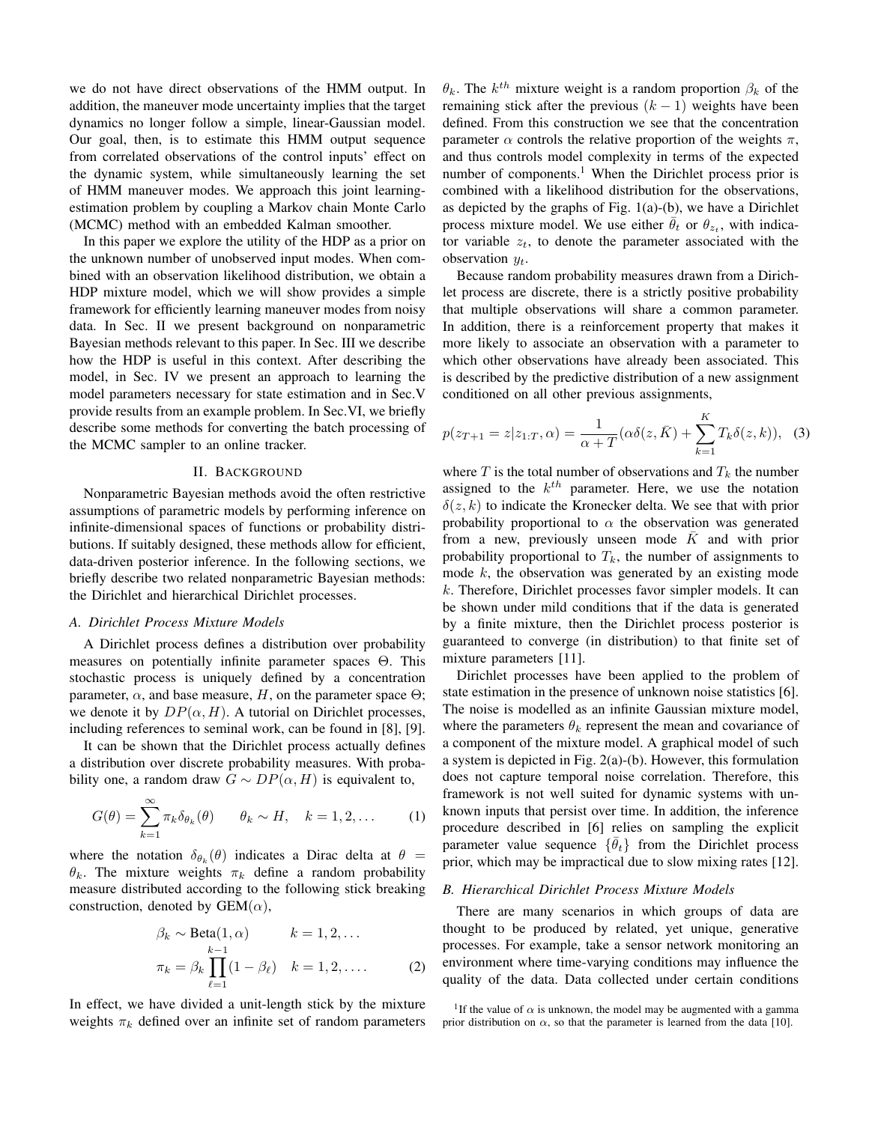we do not have direct observations of the HMM output. In addition, the maneuver mode uncertainty implies that the target dynamics no longer follow a simple, linear-Gaussian model. Our goal, then, is to estimate this HMM output sequence from correlated observations of the control inputs' effect on the dynamic system, while simultaneously learning the set of HMM maneuver modes. We approach this joint learningestimation problem by coupling a Markov chain Monte Carlo (MCMC) method with an embedded Kalman smoother.

In this paper we explore the utility of the HDP as a prior on the unknown number of unobserved input modes. When combined with an observation likelihood distribution, we obtain a HDP mixture model, which we will show provides a simple framework for efficiently learning maneuver modes from noisy data. In Sec. II we present background on nonparametric Bayesian methods relevant to this paper. In Sec. III we describe how the HDP is useful in this context. After describing the model, in Sec. IV we present an approach to learning the model parameters necessary for state estimation and in Sec.V provide results from an example problem. In Sec.VI, we briefly describe some methods for converting the batch processing of the MCMC sampler to an online tracker.

#### II. BACKGROUND

Nonparametric Bayesian methods avoid the often restrictive assumptions of parametric models by performing inference on infinite-dimensional spaces of functions or probability distributions. If suitably designed, these methods allow for efficient, data-driven posterior inference. In the following sections, we briefly describe two related nonparametric Bayesian methods: the Dirichlet and hierarchical Dirichlet processes.

# *A. Dirichlet Process Mixture Models*

A Dirichlet process defines a distribution over probability measures on potentially infinite parameter spaces Θ. This stochastic process is uniquely defined by a concentration parameter,  $\alpha$ , and base measure, H, on the parameter space  $\Theta$ ; we denote it by  $DP(\alpha, H)$ . A tutorial on Dirichlet processes, including references to seminal work, can be found in [8], [9].

It can be shown that the Dirichlet process actually defines a distribution over discrete probability measures. With probability one, a random draw  $G \sim DP(\alpha, H)$  is equivalent to,

$$
G(\theta) = \sum_{k=1}^{\infty} \pi_k \delta_{\theta_k}(\theta) \qquad \theta_k \sim H, \quad k = 1, 2, \dots \tag{1}
$$

where the notation  $\delta_{\theta_k}(\theta)$  indicates a Dirac delta at  $\theta =$  $\theta_k$ . The mixture weights  $\pi_k$  define a random probability measure distributed according to the following stick breaking construction, denoted by  $GEM(\alpha)$ ,

$$
\beta_k \sim \text{Beta}(1, \alpha) \qquad k = 1, 2, \dots
$$

$$
\pi_k = \beta_k \prod_{\ell=1}^{k-1} (1 - \beta_\ell) \quad k = 1, 2, \dots \qquad (2)
$$

In effect, we have divided a unit-length stick by the mixture weights  $\pi_k$  defined over an infinite set of random parameters

 $\theta_k$ . The  $k^{th}$  mixture weight is a random proportion  $\beta_k$  of the remaining stick after the previous  $(k - 1)$  weights have been defined. From this construction we see that the concentration parameter  $\alpha$  controls the relative proportion of the weights  $\pi$ , and thus controls model complexity in terms of the expected number of components.<sup>1</sup> When the Dirichlet process prior is combined with a likelihood distribution for the observations, as depicted by the graphs of Fig.  $1(a)$ - $(b)$ , we have a Dirichlet process mixture model. We use either  $\bar{\theta}_t$  or  $\theta_{z_t}$ , with indicator variable  $z_t$ , to denote the parameter associated with the observation  $y_t$ .

Because random probability measures drawn from a Dirichlet process are discrete, there is a strictly positive probability that multiple observations will share a common parameter. In addition, there is a reinforcement property that makes it more likely to associate an observation with a parameter to which other observations have already been associated. This is described by the predictive distribution of a new assignment conditioned on all other previous assignments,

$$
p(z_{T+1} = z | z_{1:T}, \alpha) = \frac{1}{\alpha + T} (\alpha \delta(z, \bar{K}) + \sum_{k=1}^{K} T_k \delta(z, k)), \quad (3)
$$

where  $T$  is the total number of observations and  $T_k$  the number assigned to the  $k^{th}$  parameter. Here, we use the notation  $\delta(z, k)$  to indicate the Kronecker delta. We see that with prior probability proportional to  $\alpha$  the observation was generated from a new, previously unseen mode  $K$  and with prior probability proportional to  $T_k$ , the number of assignments to mode  $k$ , the observation was generated by an existing mode  $k$ . Therefore, Dirichlet processes favor simpler models. It can be shown under mild conditions that if the data is generated by a finite mixture, then the Dirichlet process posterior is guaranteed to converge (in distribution) to that finite set of mixture parameters [11].

Dirichlet processes have been applied to the problem of state estimation in the presence of unknown noise statistics [6]. The noise is modelled as an infinite Gaussian mixture model, where the parameters  $\theta_k$  represent the mean and covariance of a component of the mixture model. A graphical model of such a system is depicted in Fig. 2(a)-(b). However, this formulation does not capture temporal noise correlation. Therefore, this framework is not well suited for dynamic systems with unknown inputs that persist over time. In addition, the inference procedure described in [6] relies on sampling the explicit parameter value sequence  $\{\bar{\theta}_t\}$  from the Dirichlet process prior, which may be impractical due to slow mixing rates [12].

#### *B. Hierarchical Dirichlet Process Mixture Models*

There are many scenarios in which groups of data are thought to be produced by related, yet unique, generative processes. For example, take a sensor network monitoring an environment where time-varying conditions may influence the quality of the data. Data collected under certain conditions

<sup>1</sup>If the value of  $\alpha$  is unknown, the model may be augmented with a gamma prior distribution on  $\alpha$ , so that the parameter is learned from the data [10].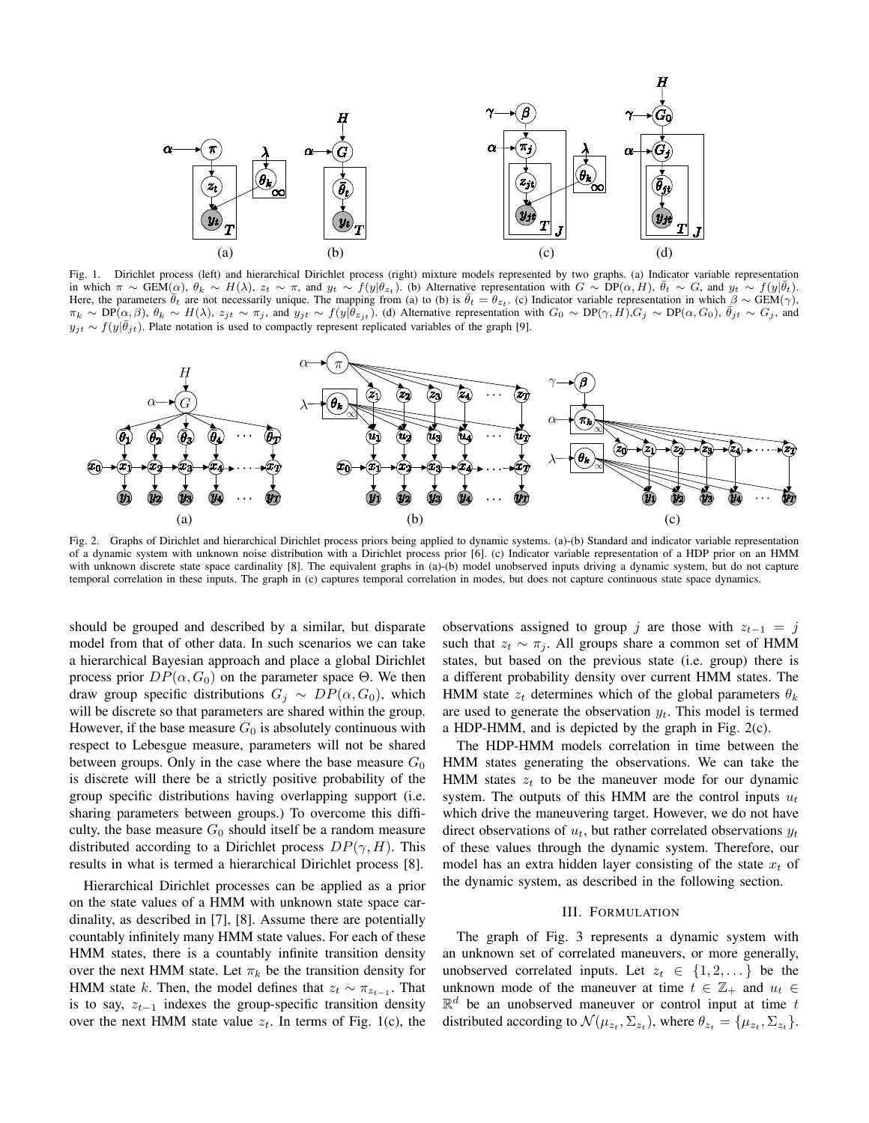

Fig. 1. Dirichlet process (left) and hierarchical Dirichlet process (right) mixture models represented by two graphs. (a) Indicator variable representation in which  $\pi \sim \text{GEN}(\alpha)$ ,  $\theta_k \sim H(\lambda)$ ,  $z_t \sim \pi$ , and  $y_t \sim f(y|\theta_{z_t})$ . (b) Alternative representation with  $G \sim \text{DP}(\alpha, H)$ ,  $\bar{\theta}_t \sim G$ , and  $y_t \sim f(y|\bar{\theta}_t)$ . Here, the parameters  $\bar{\theta}_t$  are not necessarily unique. The mapping from (a) to (b) is  $\bar{\theta}_t = \theta_{z_t}$ . (c) Indicator variable representation in which  $\bar{\beta} \sim \text{GEN}(\gamma)$ ,  $\pi_k \sim \text{DP}(\alpha, \beta)$ ,  $\theta_k \sim H(\lambda)$ ,  $z_{jt} \sim \pi_j$ , and  $y_{jt} \sim f(y|\theta_{z_{jt}})$ . (d) Alternative representation with  $G_0 \sim \text{DP}(\gamma, H)$ ,  $G_j \sim \text{DP}(\alpha, G_0)$ ,  $\dot{\theta}_{jt} \sim G_j$ , and  $y_{jt} \sim f(y|\bar{\theta}_{jt})$ . Plate notation is used to compactly represent replicated variables of the graph [9].



Fig. 2. Graphs of Dirichlet and hierarchical Dirichlet process priors being applied to dynamic systems. (a)-(b) Standard and indicator variable representation of a dynamic system with unknown noise distribution with a Dirichlet process prior [6]. (c) Indicator variable representation of a HDP prior on an HMM with unknown discrete state space cardinality [8]. The equivalent graphs in (a)-(b) model unobserved inputs driving a dynamic system, but do not capture temporal correlation in these inputs. The graph in (c) captures temporal correlation in modes, but does not capture continuous state space dynamics.

should be grouped and described by a similar, but disparate model from that of other data. In such scenarios we can take a hierarchical Bayesian approach and place a global Dirichlet process prior  $DP(\alpha, G_0)$  on the parameter space  $\Theta$ . We then draw group specific distributions  $G_i \sim DP(\alpha, G_0)$ , which will be discrete so that parameters are shared within the group. However, if the base measure  $G_0$  is absolutely continuous with respect to Lebesgue measure, parameters will not be shared between groups. Only in the case where the base measure  $G_0$ is discrete will there be a strictly positive probability of the group specific distributions having overlapping support (i.e. sharing parameters between groups.) To overcome this difficulty, the base measure  $G_0$  should itself be a random measure distributed according to a Dirichlet process  $DP(\gamma, H)$ . This results in what is termed a hierarchical Dirichlet process [8].

Hierarchical Dirichlet processes can be applied as a prior on the state values of a HMM with unknown state space cardinality, as described in [7], [8]. Assume there are potentially countably infinitely many HMM state values. For each of these HMM states, there is a countably infinite transition density over the next HMM state. Let  $\pi_k$  be the transition density for HMM state k. Then, the model defines that  $z_t \sim \pi_{z_{t-1}}$ . That is to say,  $z_{t-1}$  indexes the group-specific transition density over the next HMM state value  $z_t$ . In terms of Fig. 1(c), the

observations assigned to group j are those with  $z_{t-1} = j$ such that  $z_t \sim \pi_i$ . All groups share a common set of HMM states, but based on the previous state (i.e. group) there is a different probability density over current HMM states. The HMM state  $z_t$  determines which of the global parameters  $\theta_k$ are used to generate the observation  $y_t$ . This model is termed a HDP-HMM, and is depicted by the graph in Fig. 2(c).

The HDP-HMM models correlation in time between the HMM states generating the observations. We can take the HMM states  $z_t$  to be the maneuver mode for our dynamic system. The outputs of this HMM are the control inputs  $u_t$ which drive the maneuvering target. However, we do not have direct observations of  $u_t$ , but rather correlated observations  $y_t$ of these values through the dynamic system. Therefore, our model has an extra hidden layer consisting of the state  $x_t$  of the dynamic system, as described in the following section.

## III. FORMULATION

The graph of Fig. 3 represents a dynamic system with an unknown set of correlated maneuvers, or more generally, unobserved correlated inputs. Let  $z_t \in \{1, 2, ...\}$  be the unknown mode of the maneuver at time  $t \in \mathbb{Z}_+$  and  $u_t \in$  $\mathbb{R}^d$  be an unobserved maneuver or control input at time t distributed according to  $\mathcal{N}(\mu_{z_t}, \Sigma_{z_t})$ , where  $\theta_{z_t} = {\mu_{z_t}, \Sigma_{z_t}}$ .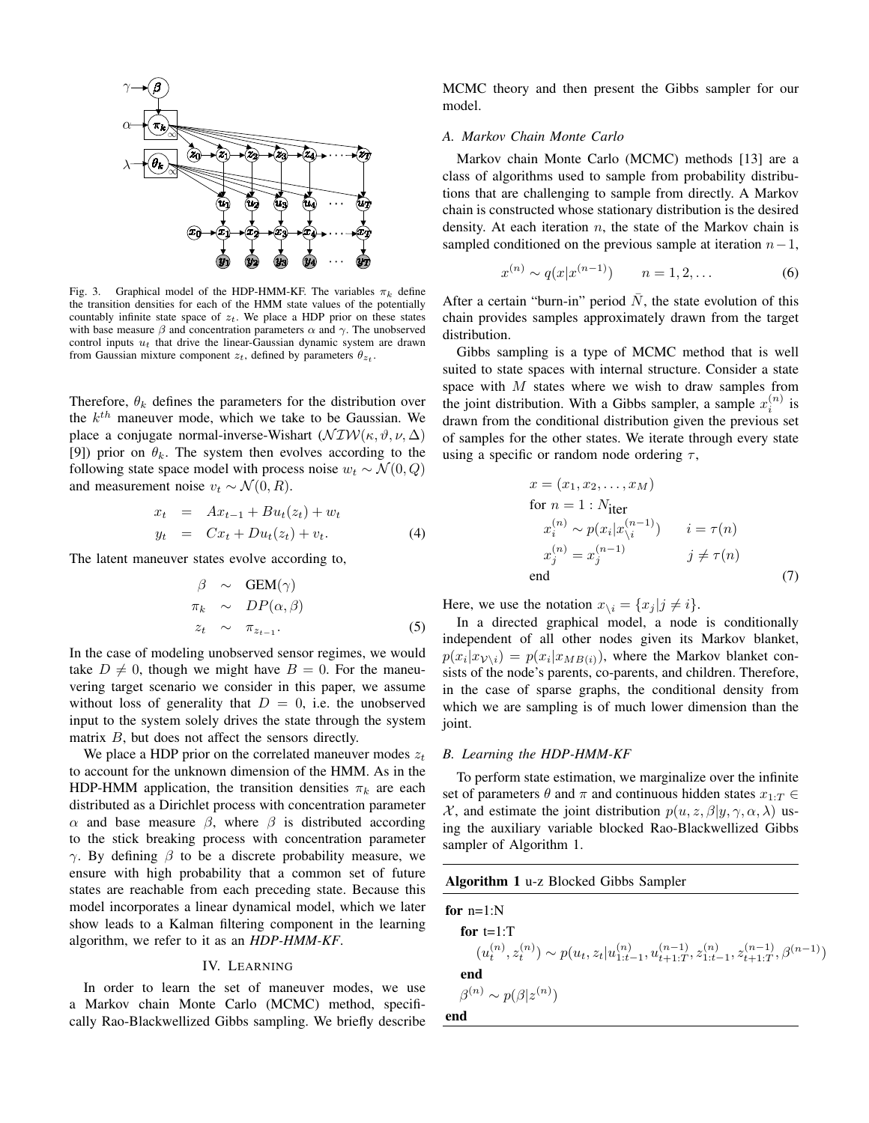

Fig. 3. Graphical model of the HDP-HMM-KF. The variables  $\pi_k$  define the transition densities for each of the HMM state values of the potentially countably infinite state space of  $z_t$ . We place a HDP prior on these states with base measure  $\beta$  and concentration parameters  $\alpha$  and  $\gamma$ . The unobserved control inputs  $u_t$  that drive the linear-Gaussian dynamic system are drawn from Gaussian mixture component  $z_t$ , defined by parameters  $\theta_{z_t}$ .

Therefore,  $\theta_k$  defines the parameters for the distribution over the  $k^{th}$  maneuver mode, which we take to be Gaussian. We place a conjugate normal-inverse-Wishart ( $\mathcal{N} \mathcal{IW}(\kappa, \vartheta, \nu, \Delta)$ [9]) prior on  $\theta_k$ . The system then evolves according to the following state space model with process noise  $w_t \sim \mathcal{N}(0, Q)$ and measurement noise  $v_t \sim \mathcal{N}(0, R)$ .

$$
x_t = Ax_{t-1} + Bu_t(z_t) + w_t
$$
  
\n
$$
y_t = Cx_t + Du_t(z_t) + v_t.
$$
\n(4)

The latent maneuver states evolve according to,

$$
\beta \sim \text{GEM}(\gamma)
$$
  
\n
$$
\pi_k \sim DP(\alpha, \beta)
$$
  
\n
$$
z_t \sim \pi_{z_{t-1}}.
$$
\n(5)

In the case of modeling unobserved sensor regimes, we would take  $D \neq 0$ , though we might have  $B = 0$ . For the maneuvering target scenario we consider in this paper, we assume without loss of generality that  $D = 0$ , i.e. the unobserved input to the system solely drives the state through the system matrix B, but does not affect the sensors directly.

We place a HDP prior on the correlated maneuver modes  $z_t$ to account for the unknown dimension of the HMM. As in the HDP-HMM application, the transition densities  $\pi_k$  are each distributed as a Dirichlet process with concentration parameter α and base measure  $\beta$ , where  $\beta$  is distributed according to the stick breaking process with concentration parameter γ. By defining  $\beta$  to be a discrete probability measure, we ensure with high probability that a common set of future states are reachable from each preceding state. Because this model incorporates a linear dynamical model, which we later show leads to a Kalman filtering component in the learning algorithm, we refer to it as an *HDP-HMM-KF*.

## IV. LEARNING

In order to learn the set of maneuver modes, we use a Markov chain Monte Carlo (MCMC) method, specifically Rao-Blackwellized Gibbs sampling. We briefly describe

MCMC theory and then present the Gibbs sampler for our model.

## *A. Markov Chain Monte Carlo*

Markov chain Monte Carlo (MCMC) methods [13] are a class of algorithms used to sample from probability distributions that are challenging to sample from directly. A Markov chain is constructed whose stationary distribution is the desired density. At each iteration  $n$ , the state of the Markov chain is sampled conditioned on the previous sample at iteration  $n-1$ ,

$$
x^{(n)} \sim q(x|x^{(n-1)}) \qquad n = 1, 2, \dots \tag{6}
$$

After a certain "burn-in" period  $\overline{N}$ , the state evolution of this chain provides samples approximately drawn from the target distribution.

Gibbs sampling is a type of MCMC method that is well suited to state spaces with internal structure. Consider a state space with  $M$  states where we wish to draw samples from the joint distribution. With a Gibbs sampler, a sample  $x_i^{(n)}$  is drawn from the conditional distribution given the previous set of samples for the other states. We iterate through every state using a specific or random node ordering  $\tau$ ,

$$
x = (x_1, x_2, \dots, x_M)
$$
  
for  $n = 1 : N_{\text{iter}}$   

$$
x_i^{(n)} \sim p(x_i | x_{\backslash i}^{(n-1)}) \qquad i = \tau(n)
$$
  

$$
x_j^{(n)} = x_j^{(n-1)} \qquad j \neq \tau(n)
$$
  
end (7)

Here, we use the notation  $x_{\backslash i} = \{x_j | j \neq i\}.$ 

In a directed graphical model, a node is conditionally independent of all other nodes given its Markov blanket,  $p(x_i|x_{\mathcal{V}\setminus i}) = p(x_i|x_{MB(i)})$ , where the Markov blanket consists of the node's parents, co-parents, and children. Therefore, in the case of sparse graphs, the conditional density from which we are sampling is of much lower dimension than the joint.

## *B. Learning the HDP-HMM-KF*

To perform state estimation, we marginalize over the infinite set of parameters  $\theta$  and  $\pi$  and continuous hidden states  $x_{1:T} \in$  $\mathcal{X}$ , and estimate the joint distribution  $p(u, z, \beta | y, \gamma, \alpha, \lambda)$  using the auxiliary variable blocked Rao-Blackwellized Gibbs sampler of Algorithm 1.

## **Algorithm 1** u-z Blocked Gibbs Sampler

**for** n=1:N for  $t=1$ :T  $(u_t^{(n)}, z_t^{(n)}) \sim p(u_t, z_t | u_{1:t-1}^{(n)}, u_{t+1:T}^{(n-1)})$  $\binom{n-1}{t+1:T}, \binom{n}{1:t-1}, \binom{n-1}{t+1:T}$  $_{t+1:T}^{(n-1)}, \beta^{(n-1)})$ **end**  $\beta^{(n)} \sim p(\beta | z^{(n)})$ **end**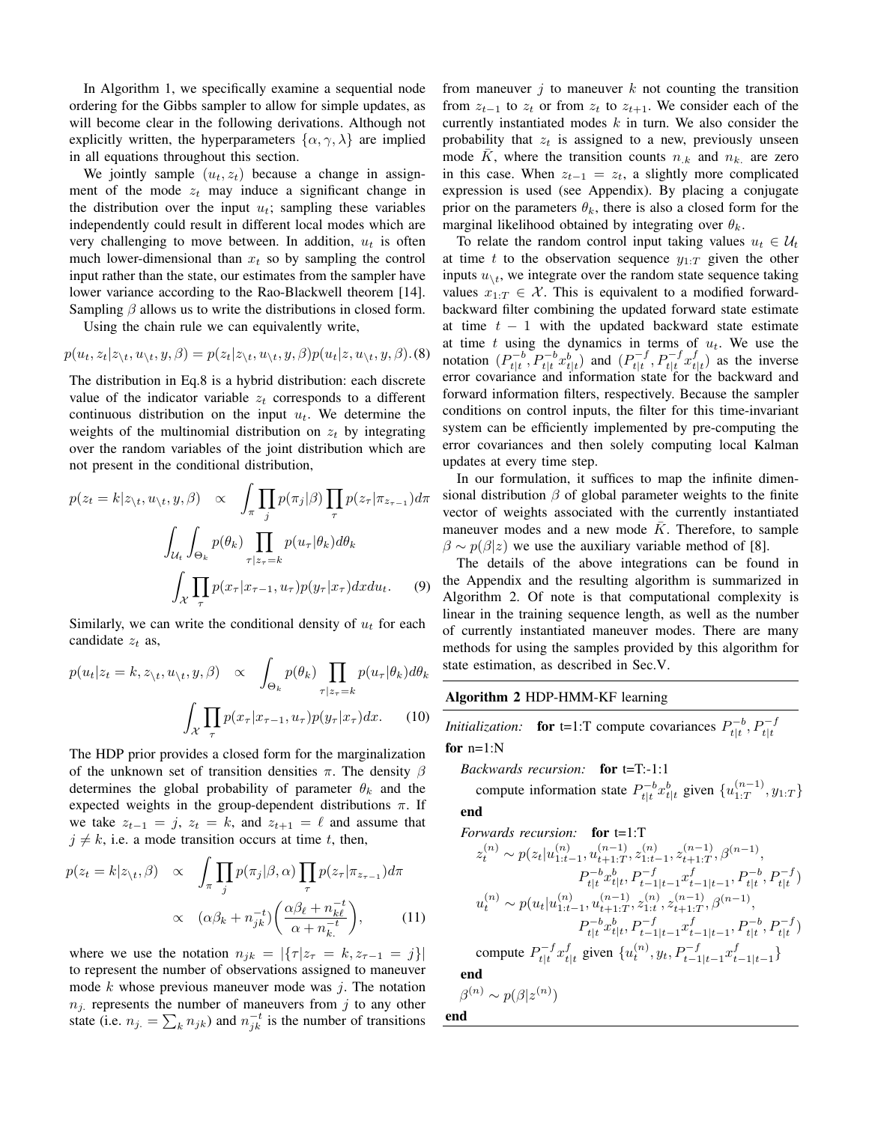In Algorithm 1, we specifically examine a sequential node ordering for the Gibbs sampler to allow for simple updates, as will become clear in the following derivations. Although not explicitly written, the hyperparameters  $\{\alpha, \gamma, \lambda\}$  are implied in all equations throughout this section.

We jointly sample  $(u_t, z_t)$  because a change in assignment of the mode  $z_t$  may induce a significant change in the distribution over the input  $u_t$ ; sampling these variables independently could result in different local modes which are very challenging to move between. In addition,  $u_t$  is often much lower-dimensional than  $x_t$  so by sampling the control input rather than the state, our estimates from the sampler have lower variance according to the Rao-Blackwell theorem [14]. Sampling  $\beta$  allows us to write the distributions in closed form.

Using the chain rule we can equivalently write,

$$
p(u_t, z_t | z_{\backslash t}, u_{\backslash t}, y, \beta) = p(z_t | z_{\backslash t}, u_{\backslash t}, y, \beta) p(u_t | z, u_{\backslash t}, y, \beta). (8)
$$

The distribution in Eq.8 is a hybrid distribution: each discrete value of the indicator variable  $z_t$  corresponds to a different continuous distribution on the input  $u_t$ . We determine the weights of the multinomial distribution on  $z_t$  by integrating over the random variables of the joint distribution which are not present in the conditional distribution,

$$
p(z_t = k | z_{\backslash t}, u_{\backslash t}, y, \beta) \propto \int_{\pi} \prod_j p(\pi_j | \beta) \prod_{\tau} p(z_{\tau} | \pi_{z_{\tau-1}}) d\pi
$$

$$
\int_{\mathcal{U}_t} \int_{\Theta_k} p(\theta_k) \prod_{\tau | z_{\tau} = k} p(u_{\tau} | \theta_k) d\theta_k
$$

$$
\int_{\mathcal{X}} \prod_{\tau} p(x_{\tau} | x_{\tau-1}, u_{\tau}) p(y_{\tau} | x_{\tau}) dx du_t. \tag{9}
$$

Similarly, we can write the conditional density of  $u_t$  for each candidate  $z_t$  as,

$$
p(u_t|z_t = k, z_{\backslash t}, u_{\backslash t}, y, \beta) \propto \int_{\Theta_k} p(\theta_k) \prod_{\tau | z_\tau = k} p(u_\tau | \theta_k) d\theta_k
$$

$$
\int_{\mathcal{X}} \prod_{\tau} p(x_\tau | x_{\tau-1}, u_\tau) p(y_\tau | x_\tau) dx. \tag{10}
$$

The HDP prior provides a closed form for the marginalization of the unknown set of transition densities  $\pi$ . The density  $\beta$ determines the global probability of parameter  $\theta_k$  and the expected weights in the group-dependent distributions  $\pi$ . If we take  $z_{t-1} = j$ ,  $z_t = k$ , and  $z_{t+1} = \ell$  and assume that  $j \neq k$ , i.e. a mode transition occurs at time t, then,

$$
p(z_t = k | z_{\backslash t}, \beta) \propto \int_{\pi} \prod_{j} p(\pi_j | \beta, \alpha) \prod_{\tau} p(z_{\tau} | \pi_{z_{\tau-1}}) d\pi
$$

$$
\propto (\alpha \beta_k + n_{jk}^{-t}) \left( \frac{\alpha \beta_\ell + n_{k\ell}^{-t}}{\alpha + n_{k\ell}^{-t}} \right), \qquad (11)
$$

where we use the notation  $n_{jk} = |\{\tau | z_{\tau} = k, z_{\tau-1} = j\}|$ to represent the number of observations assigned to maneuver mode k whose previous maneuver mode was  $i$ . The notation  $n_i$  represents the number of maneuvers from j to any other state (i.e.  $n_j = \sum_k n_{jk}$ ) and  $n_{jk}^{-t}$  is the number of transitions from maneuver  $i$  to maneuver k not counting the transition from  $z_{t-1}$  to  $z_t$  or from  $z_t$  to  $z_{t+1}$ . We consider each of the currently instantiated modes  $k$  in turn. We also consider the probability that  $z_t$  is assigned to a new, previously unseen mode  $\bar{K}$ , where the transition counts  $n_{.k}$  and  $n_{k}$  are zero in this case. When  $z_{t-1} = z_t$ , a slightly more complicated expression is used (see Appendix). By placing a conjugate prior on the parameters  $\theta_k$ , there is also a closed form for the marginal likelihood obtained by integrating over  $\theta_k$ .

To relate the random control input taking values  $u_t \in \mathcal{U}_t$ at time t to the observation sequence  $y_{1:T}$  given the other inputs  $u_{\setminus t}$ , we integrate over the random state sequence taking values  $x_{1:T} \in \mathcal{X}$ . This is equivalent to a modified forwardbackward filter combining the updated forward state estimate at time  $t - 1$  with the updated backward state estimate at time t using the dynamics in terms of  $u_t$ . We use the notation  $(P_{t|t}^{-b}, P_{t|t}^{-b} x_{t|t}^{b})$  and  $(P_{t|t}^{-f})$  $P_{t|t}^{-f}, P_{t|t}^{-f}x_t^f$  $t(t)$  as the inverse error covariance and information state for the backward and forward information filters, respectively. Because the sampler conditions on control inputs, the filter for this time-invariant system can be efficiently implemented by pre-computing the error covariances and then solely computing local Kalman updates at every time step.

In our formulation, it suffices to map the infinite dimensional distribution  $\beta$  of global parameter weights to the finite vector of weights associated with the currently instantiated maneuver modes and a new mode  $\bar{K}$ . Therefore, to sample  $\beta \sim p(\beta|z)$  we use the auxiliary variable method of [8].

The details of the above integrations can be found in the Appendix and the resulting algorithm is summarized in Algorithm 2. Of note is that computational complexity is linear in the training sequence length, as well as the number of currently instantiated maneuver modes. There are many methods for using the samples provided by this algorithm for state estimation, as described in Sec.V.

## **Algorithm 2** HDP-HMM-KF learning

*Initialization:* **for** t=1:T compute covariances  $P_{t|t}^{-b}$ ,  $P_{t|t}^{-f}$ **for** n=1:N

*Backwards recursion:* for t=T:-1:1  
compute information state 
$$
P_{t|t}^{-b} x_{t|t}^{b}
$$
 given  $\{u_{1:T}^{(n-1)}, y_{1:T}\}$ 

**end**

$$
\begin{array}{ll}\n\textit{Forwards} \textit{ recursion:} & \textbf{for t=1:T} \\
z_t^{(n)} \sim p(z_t | u_{1:t-1}^{(n)}, u_{t+1:T}^{(n-1)}, z_{1:t-1}^{(n)}, z_{t+1:T}^{(n-1)}, \beta^{(n-1)}, \\
&\quad P_{t|t}^{-b} x_{t|t}^b, P_{t-1|t-1}^{-f} x_{t-1|t-1}^f, P_{t|t}^{-b}, P_{t|t}^{-f}) \\
u_t^{(n)} \sim p(u_t | u_{1:t-1}^{(n)}, u_{t+1:T}^{(n-1)}, z_{1:t}^{(n)}, z_{t+1:T}^{(n-1)}, \beta^{(n-1)}, \\
&\quad P_{t|t}^{-b} x_{t|t}^b, P_{t-1|t-1}^{-f} x_{t-1|t-1}^f, P_{t|t}^{-b}, P_{t|t}^{-f}) \\
\textit{compute } P_{t|t}^{-f} x_{t|t}^f \textit{ given } \{u_t^{(n)}, y_t, P_{t-1|t-1}^{-f} x_{t-1|t-1}^f\} \\
\end{array}
$$

**end**

$$
\beta^{(n)} \sim p(\beta | z^{(n)})
$$

**end**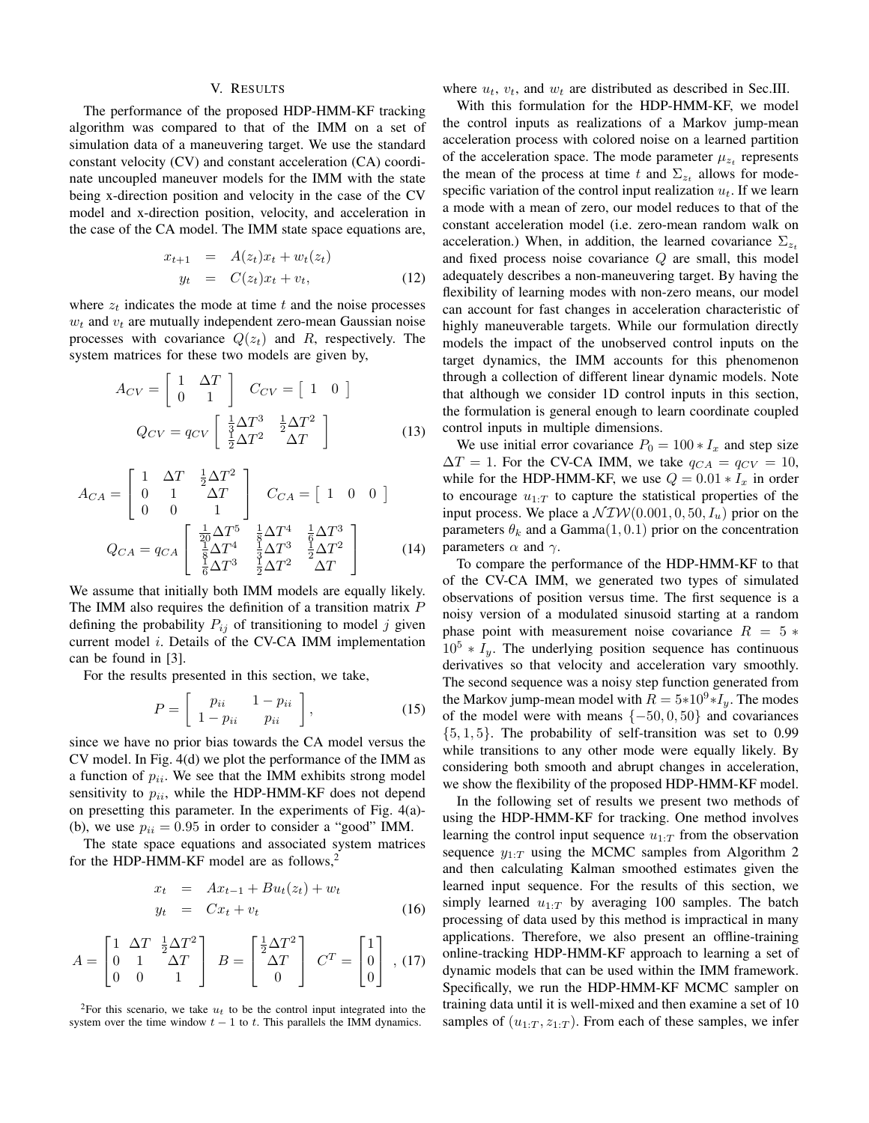#### V. RESULTS

The performance of the proposed HDP-HMM-KF tracking algorithm was compared to that of the IMM on a set of simulation data of a maneuvering target. We use the standard constant velocity (CV) and constant acceleration (CA) coordinate uncoupled maneuver models for the IMM with the state being x-direction position and velocity in the case of the CV model and x-direction position, velocity, and acceleration in the case of the CA model. The IMM state space equations are,

$$
x_{t+1} = A(z_t)x_t + w_t(z_t)
$$
  
\n
$$
y_t = C(z_t)x_t + v_t,
$$
\n(12)

where  $z_t$  indicates the mode at time t and the noise processes  $w_t$  and  $v_t$  are mutually independent zero-mean Gaussian noise processes with covariance  $Q(z_t)$  and R, respectively. The system matrices for these two models are given by,

$$
A_{CV} = \begin{bmatrix} 1 & \Delta T \\ 0 & 1 \end{bmatrix} \quad C_{CV} = \begin{bmatrix} 1 & 0 \end{bmatrix}
$$

$$
Q_{CV} = q_{CV} \begin{bmatrix} \frac{1}{3} \Delta T^3 & \frac{1}{2} \Delta T^2 \\ \frac{1}{2} \Delta T^2 & \Delta T \end{bmatrix}
$$
(13)

$$
A_{CA} = \begin{bmatrix} 1 & \Delta T & \frac{1}{2}\Delta T^2 \\ 0 & 1 & \Delta T \\ 0 & 0 & 1 \end{bmatrix} \quad C_{CA} = \begin{bmatrix} 1 & 0 & 0 \end{bmatrix}
$$
\n
$$
Q_{CA} = q_{CA} \begin{bmatrix} \frac{1}{20}\Delta T^5 & \frac{1}{8}\Delta T^4 & \frac{1}{6}\Delta T^3 \\ \frac{1}{8}\Delta T^4 & \frac{1}{3}\Delta T^3 & \frac{1}{2}\Delta T^2 \\ \frac{1}{6}\Delta T^3 & \frac{1}{2}\Delta T^2 & \Delta T \end{bmatrix} \tag{14}
$$

We assume that initially both IMM models are equally likely. The IMM also requires the definition of a transition matrix P defining the probability  $P_{ij}$  of transitioning to model j given current model i. Details of the CV-CA IMM implementation can be found in [3].

For the results presented in this section, we take,

$$
P = \left[ \begin{array}{cc} p_{ii} & 1 - p_{ii} \\ 1 - p_{ii} & p_{ii} \end{array} \right],
$$
 (15)

since we have no prior bias towards the CA model versus the CV model. In Fig. 4(d) we plot the performance of the IMM as a function of  $p_{ii}$ . We see that the IMM exhibits strong model sensitivity to  $p_{ii}$ , while the HDP-HMM-KF does not depend on presetting this parameter. In the experiments of Fig. 4(a)- (b), we use  $p_{ii} = 0.95$  in order to consider a "good" IMM.

The state space equations and associated system matrices for the HDP-HMM-KF model are as follows, $<sup>2</sup>$ </sup>

$$
x_t = Ax_{t-1} + Bu_t(z_t) + w_t
$$
  
\n
$$
y_t = Cx_t + v_t
$$
\n(16)

$$
A = \begin{bmatrix} 1 & \Delta T & \frac{1}{2}\Delta T^2 \\ 0 & 1 & \Delta T \\ 0 & 0 & 1 \end{bmatrix} \quad B = \begin{bmatrix} \frac{1}{2}\Delta T^2 \\ \Delta T \\ 0 \end{bmatrix} \quad C^T = \begin{bmatrix} 1 \\ 0 \\ 0 \end{bmatrix} \tag{17}
$$

<sup>2</sup>For this scenario, we take  $u_t$  to be the control input integrated into the system over the time window  $t - 1$  to t. This parallels the IMM dynamics.

where  $u_t$ ,  $v_t$ , and  $w_t$  are distributed as described in Sec.III.

With this formulation for the HDP-HMM-KF, we model the control inputs as realizations of a Markov jump-mean acceleration process with colored noise on a learned partition of the acceleration space. The mode parameter  $\mu_{z_t}$  represents the mean of the process at time t and  $\Sigma_{z_t}$  allows for modespecific variation of the control input realization  $u_t$ . If we learn a mode with a mean of zero, our model reduces to that of the constant acceleration model (i.e. zero-mean random walk on acceleration.) When, in addition, the learned covariance  $\Sigma_{z_t}$ and fixed process noise covariance Q are small, this model adequately describes a non-maneuvering target. By having the flexibility of learning modes with non-zero means, our model can account for fast changes in acceleration characteristic of highly maneuverable targets. While our formulation directly models the impact of the unobserved control inputs on the target dynamics, the IMM accounts for this phenomenon through a collection of different linear dynamic models. Note that although we consider 1D control inputs in this section, the formulation is general enough to learn coordinate coupled control inputs in multiple dimensions.

We use initial error covariance  $P_0 = 100 * I_x$  and step size  $\Delta T = 1$ . For the CV-CA IMM, we take  $q_{CA} = q_{CV} = 10$ , while for the HDP-HMM-KF, we use  $Q = 0.01 * I_x$  in order to encourage  $u_{1:T}$  to capture the statistical properties of the input process. We place a  $\mathcal{N} \mathcal{IW}(0.001, 0, 50, I_u)$  prior on the parameters  $\theta_k$  and a Gamma $(1, 0.1)$  prior on the concentration parameters  $\alpha$  and  $\gamma$ .

To compare the performance of the HDP-HMM-KF to that of the CV-CA IMM, we generated two types of simulated observations of position versus time. The first sequence is a noisy version of a modulated sinusoid starting at a random phase point with measurement noise covariance  $R = 5$  \*  $10^5 * I_y$ . The underlying position sequence has continuous derivatives so that velocity and acceleration vary smoothly. The second sequence was a noisy step function generated from the Markov jump-mean model with  $R = 5*10^9*I_y$ . The modes of the model were with means  $\{-50, 0, 50\}$  and covariances  $\{5, 1, 5\}$ . The probability of self-transition was set to 0.99 while transitions to any other mode were equally likely. By considering both smooth and abrupt changes in acceleration, we show the flexibility of the proposed HDP-HMM-KF model.

In the following set of results we present two methods of using the HDP-HMM-KF for tracking. One method involves learning the control input sequence  $u_{1:T}$  from the observation sequence  $y_{1:T}$  using the MCMC samples from Algorithm 2 and then calculating Kalman smoothed estimates given the learned input sequence. For the results of this section, we simply learned  $u_{1:T}$  by averaging 100 samples. The batch processing of data used by this method is impractical in many applications. Therefore, we also present an offline-training online-tracking HDP-HMM-KF approach to learning a set of dynamic models that can be used within the IMM framework. Specifically, we run the HDP-HMM-KF MCMC sampler on training data until it is well-mixed and then examine a set of 10 samples of  $(u_{1:T}, z_{1:T})$ . From each of these samples, we infer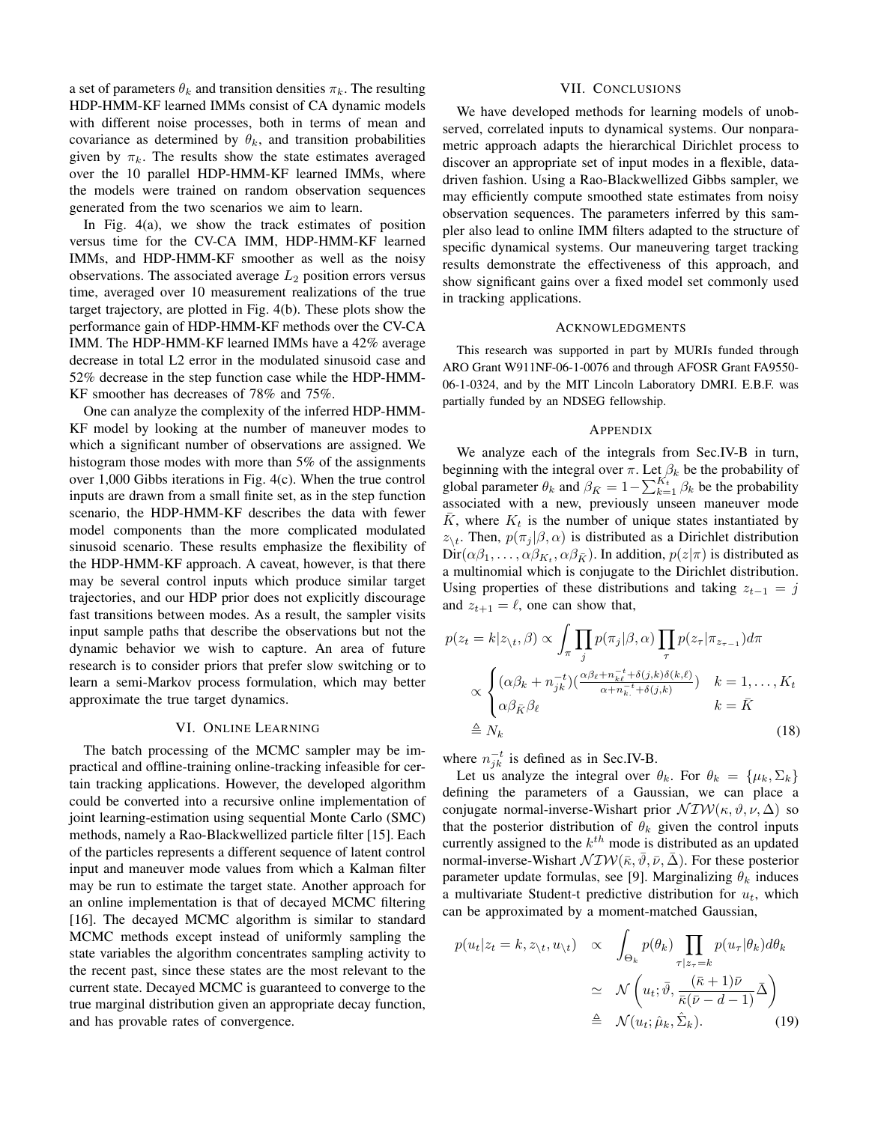a set of parameters  $\theta_k$  and transition densities  $\pi_k$ . The resulting HDP-HMM-KF learned IMMs consist of CA dynamic models with different noise processes, both in terms of mean and covariance as determined by  $\theta_k$ , and transition probabilities given by  $\pi_k$ . The results show the state estimates averaged over the 10 parallel HDP-HMM-KF learned IMMs, where the models were trained on random observation sequences generated from the two scenarios we aim to learn.

In Fig. 4(a), we show the track estimates of position versus time for the CV-CA IMM, HDP-HMM-KF learned IMMs, and HDP-HMM-KF smoother as well as the noisy observations. The associated average  $L_2$  position errors versus time, averaged over 10 measurement realizations of the true target trajectory, are plotted in Fig. 4(b). These plots show the performance gain of HDP-HMM-KF methods over the CV-CA IMM. The HDP-HMM-KF learned IMMs have a 42% average decrease in total L2 error in the modulated sinusoid case and 52% decrease in the step function case while the HDP-HMM-KF smoother has decreases of 78% and 75%.

One can analyze the complexity of the inferred HDP-HMM-KF model by looking at the number of maneuver modes to which a significant number of observations are assigned. We histogram those modes with more than 5% of the assignments over 1,000 Gibbs iterations in Fig. 4(c). When the true control inputs are drawn from a small finite set, as in the step function scenario, the HDP-HMM-KF describes the data with fewer model components than the more complicated modulated sinusoid scenario. These results emphasize the flexibility of the HDP-HMM-KF approach. A caveat, however, is that there may be several control inputs which produce similar target trajectories, and our HDP prior does not explicitly discourage fast transitions between modes. As a result, the sampler visits input sample paths that describe the observations but not the dynamic behavior we wish to capture. An area of future research is to consider priors that prefer slow switching or to learn a semi-Markov process formulation, which may better approximate the true target dynamics.

#### VI. ONLINE LEARNING

The batch processing of the MCMC sampler may be impractical and offline-training online-tracking infeasible for certain tracking applications. However, the developed algorithm could be converted into a recursive online implementation of joint learning-estimation using sequential Monte Carlo (SMC) methods, namely a Rao-Blackwellized particle filter [15]. Each of the particles represents a different sequence of latent control input and maneuver mode values from which a Kalman filter may be run to estimate the target state. Another approach for an online implementation is that of decayed MCMC filtering [16]. The decayed MCMC algorithm is similar to standard MCMC methods except instead of uniformly sampling the state variables the algorithm concentrates sampling activity to the recent past, since these states are the most relevant to the current state. Decayed MCMC is guaranteed to converge to the true marginal distribution given an appropriate decay function, and has provable rates of convergence.

## VII. CONCLUSIONS

We have developed methods for learning models of unobserved, correlated inputs to dynamical systems. Our nonparametric approach adapts the hierarchical Dirichlet process to discover an appropriate set of input modes in a flexible, datadriven fashion. Using a Rao-Blackwellized Gibbs sampler, we may efficiently compute smoothed state estimates from noisy observation sequences. The parameters inferred by this sampler also lead to online IMM filters adapted to the structure of specific dynamical systems. Our maneuvering target tracking results demonstrate the effectiveness of this approach, and show significant gains over a fixed model set commonly used in tracking applications.

# ACKNOWLEDGMENTS

This research was supported in part by MURIs funded through ARO Grant W911NF-06-1-0076 and through AFOSR Grant FA9550- 06-1-0324, and by the MIT Lincoln Laboratory DMRI. E.B.F. was partially funded by an NDSEG fellowship.

#### **APPENDIX**

We analyze each of the integrals from Sec.IV-B in turn, beginning with the integral over  $\pi$ . Let  $\beta_k$  be the probability of global parameter  $\theta_k$  and  $\beta_{\bar{K}} = 1 - \sum_{k=1}^{K_t} \beta_k$  be the probability associated with a new, previously unseen maneuver mode  $\overline{K}$ , where  $K_t$  is the number of unique states instantiated by  $z_{\setminus t}$ . Then,  $p(\pi_j|\beta,\alpha)$  is distributed as a Dirichlet distribution  $\text{Dir}(\alpha\beta_1,\ldots,\alpha\beta_{K_t},\alpha\beta_{\bar{K}})$ . In addition,  $p(z|\pi)$  is distributed as a multinomial which is conjugate to the Dirichlet distribution. Using properties of these distributions and taking  $z_{t-1} = j$ and  $z_{t+1} = \ell$ , one can show that,

$$
p(z_t = k | z_{\backslash t}, \beta) \propto \int_{\pi} \prod_j p(\pi_j | \beta, \alpha) \prod_{\tau} p(z_{\tau} | \pi_{z_{\tau-1}}) d\pi
$$
  

$$
\propto \begin{cases} (\alpha \beta_k + n_{jk}^{-t}) (\frac{\alpha \beta_{\ell} + n_{k\ell}^{-t} + \delta(j,k) \delta(k,\ell)}{\alpha + n_{k\ell}^{-t} + \delta(j,k)}) & k = 1, ..., K_t \\ \alpha \beta_{\bar{K}} \beta_{\ell} & k = \bar{K} \end{cases}
$$
(18)

where  $n_{jk}^{-t}$  is defined as in Sec.IV-B.

Let us analyze the integral over  $\theta_k$ . For  $\theta_k = {\mu_k, \Sigma_k}$ defining the parameters of a Gaussian, we can place a conjugate normal-inverse-Wishart prior  $\mathcal{N} \mathcal{IW}(\kappa, \vartheta, \nu, \Delta)$  so that the posterior distribution of  $\theta_k$  given the control inputs currently assigned to the  $k^{th}$  mode is distributed as an updated normal-inverse-Wishart  $\mathcal{N} \mathcal{IW}(\bar{\kappa}, \bar{\vartheta}, \bar{\nu}, \bar{\Delta})$ . For these posterior parameter update formulas, see [9]. Marginalizing  $\theta_k$  induces a multivariate Student-t predictive distribution for  $u_t$ , which can be approximated by a moment-matched Gaussian,

$$
p(u_t|z_t = k, z_{\backslash t}, u_{\backslash t}) \propto \int_{\Theta_k} p(\theta_k) \prod_{\tau | z_\tau = k} p(u_\tau | \theta_k) d\theta_k
$$
  
 
$$
\simeq \mathcal{N}\left(u_t; \overline{\vartheta}, \frac{(\overline{\kappa} + 1)\overline{\nu}}{\overline{\kappa}(\overline{\nu} - d - 1)} \overline{\Delta}\right)
$$
  

$$
\triangleq \mathcal{N}(u_t; \hat{\mu}_k, \hat{\Sigma}_k).
$$
 (19)